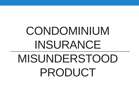# CONDOMINIUM INSURANCE MISUNDERSTOOD PRODUCT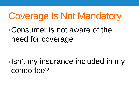### Coverage Is Not Mandatory

•Consumer is not aware of the need for coverage

•Isn't my insurance included in my condo fee?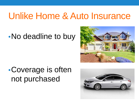#### Unlike Home & Auto Insurance

#### •No deadline to buy



#### •Coverage is often not purchased

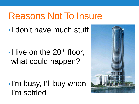# Reasons Not To Insure

•I don't have much stuff

 $\bullet$  l live on the 20<sup>th</sup> floor, what could happen?

•I'm busy, I'll buy when I'm settled

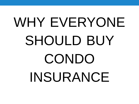# WHY EVERYONE SHOULD BUY CONDO INSURANCE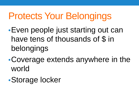# Protects Your Belongings

- •Even people just starting out can have tens of thousands of \$ in belongings
- •Coverage extends anywhere in the world
- •Storage locker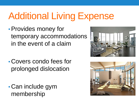# Additional Living Expense

•Provides money for temporary accommodations in the event of a claim

- Covers condo fees for prolonged dislocation
- Can include gym membership



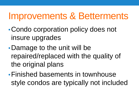#### Improvements & Betterments

- •Condo corporation policy does not insure upgrades
- •Damage to the unit will be repaired/replaced with the quality of the original plans
- •Finished basements in townhouse style condos are typically not included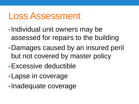#### Loss Assessment

- •Individual unit owners may be assessed for repairs to the building
- •Damages caused by an insured peril but not covered by master policy
- •Excessive deductible
- •Lapse in coverage
- •Inadequate coverage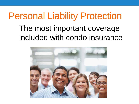### Personal Liability Protection

#### The most important coverage included with condo insurance

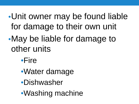#### •Unit owner may be found liable for damage to their own unit

- •May be liable for damage to other units
	- •Fire
	- •Water damage
	- •Dishwasher
	- •Washing machine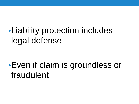#### •Liability protection includes legal defense

#### •Even if claim is groundless or fraudulent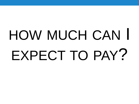# HOW MUCH CAN I EXPECT TO PAY?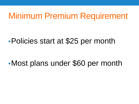#### Minimum Premium Requirement

#### •Policies start at \$25 per month

•Most plans under \$60 per month